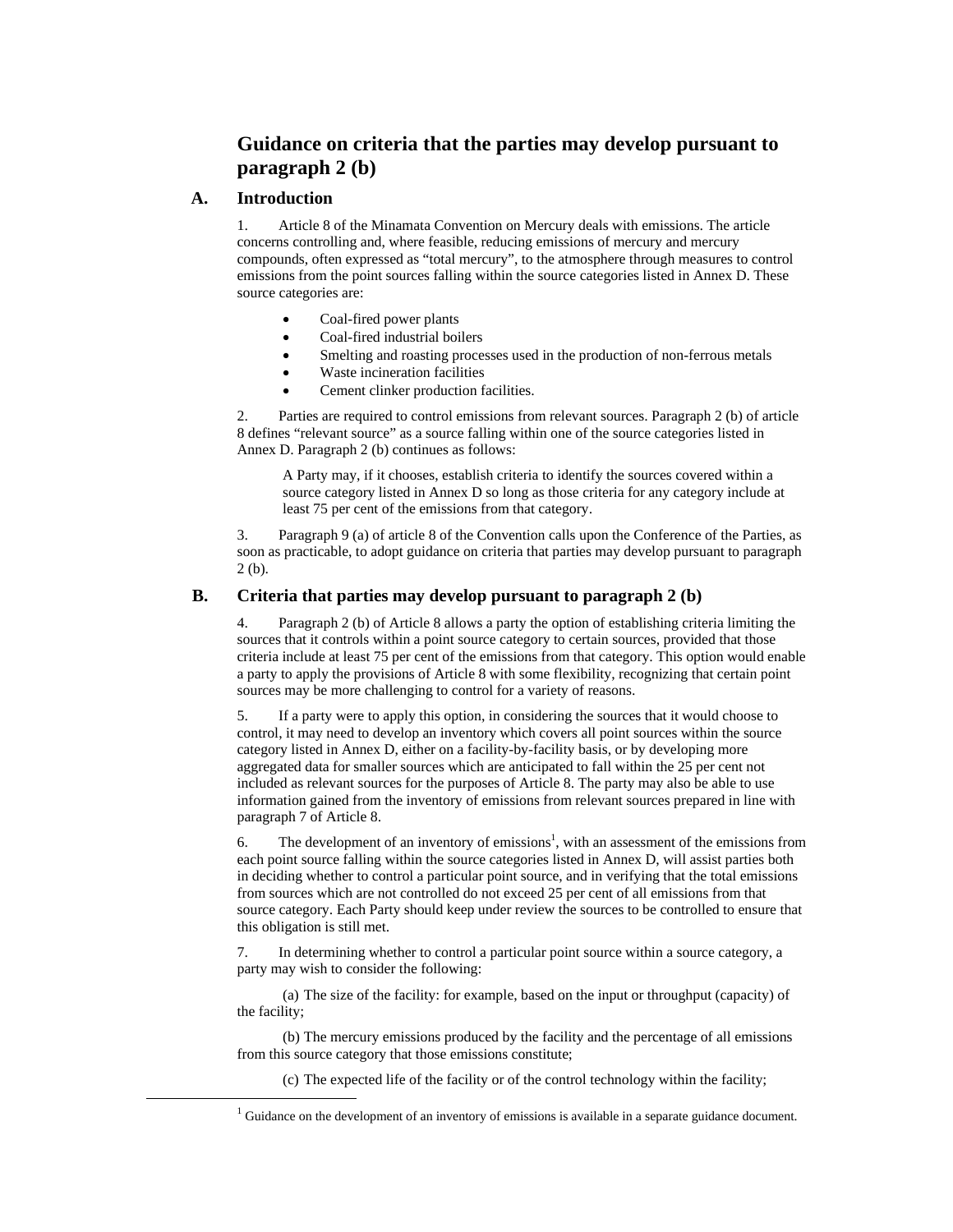## **Guidance on criteria that the parties may develop pursuant to paragraph 2 (b)**

## **A. Introduction**

1. Article 8 of the Minamata Convention on Mercury deals with emissions. The article concerns controlling and, where feasible, reducing emissions of mercury and mercury compounds, often expressed as "total mercury", to the atmosphere through measures to control emissions from the point sources falling within the source categories listed in Annex D. These source categories are:

- Coal-fired power plants
- Coal-fired industrial boilers
- Smelting and roasting processes used in the production of non-ferrous metals
- Waste incineration facilities
- Cement clinker production facilities.

2. Parties are required to control emissions from relevant sources. Paragraph 2 (b) of article 8 defines "relevant source" as a source falling within one of the source categories listed in Annex D. Paragraph 2 (b) continues as follows:

A Party may, if it chooses, establish criteria to identify the sources covered within a source category listed in Annex D so long as those criteria for any category include at least 75 per cent of the emissions from that category.

3. Paragraph 9 (a) of article 8 of the Convention calls upon the Conference of the Parties, as soon as practicable, to adopt guidance on criteria that parties may develop pursuant to paragraph 2 (b).

## **B. Criteria that parties may develop pursuant to paragraph 2 (b)**

4. Paragraph 2 (b) of Article 8 allows a party the option of establishing criteria limiting the sources that it controls within a point source category to certain sources, provided that those criteria include at least 75 per cent of the emissions from that category. This option would enable a party to apply the provisions of Article 8 with some flexibility, recognizing that certain point sources may be more challenging to control for a variety of reasons.

5. If a party were to apply this option, in considering the sources that it would choose to control, it may need to develop an inventory which covers all point sources within the source category listed in Annex D, either on a facility-by-facility basis, or by developing more aggregated data for smaller sources which are anticipated to fall within the 25 per cent not included as relevant sources for the purposes of Article 8. The party may also be able to use information gained from the inventory of emissions from relevant sources prepared in line with paragraph 7 of Article 8.

6. The development of an inventory of emissions<sup>1</sup>, with an assessment of the emissions from each point source falling within the source categories listed in Annex D, will assist parties both in deciding whether to control a particular point source, and in verifying that the total emissions from sources which are not controlled do not exceed 25 per cent of all emissions from that source category. Each Party should keep under review the sources to be controlled to ensure that this obligation is still met.

7. In determining whether to control a particular point source within a source category, a party may wish to consider the following:

(a) The size of the facility: for example, based on the input or throughput (capacity) of the facility;

(b) The mercury emissions produced by the facility and the percentage of all emissions from this source category that those emissions constitute;

(c) The expected life of the facility or of the control technology within the facility;

<sup>&</sup>lt;u>1</u> <sup>1</sup> Guidance on the development of an inventory of emissions is available in a separate guidance document.